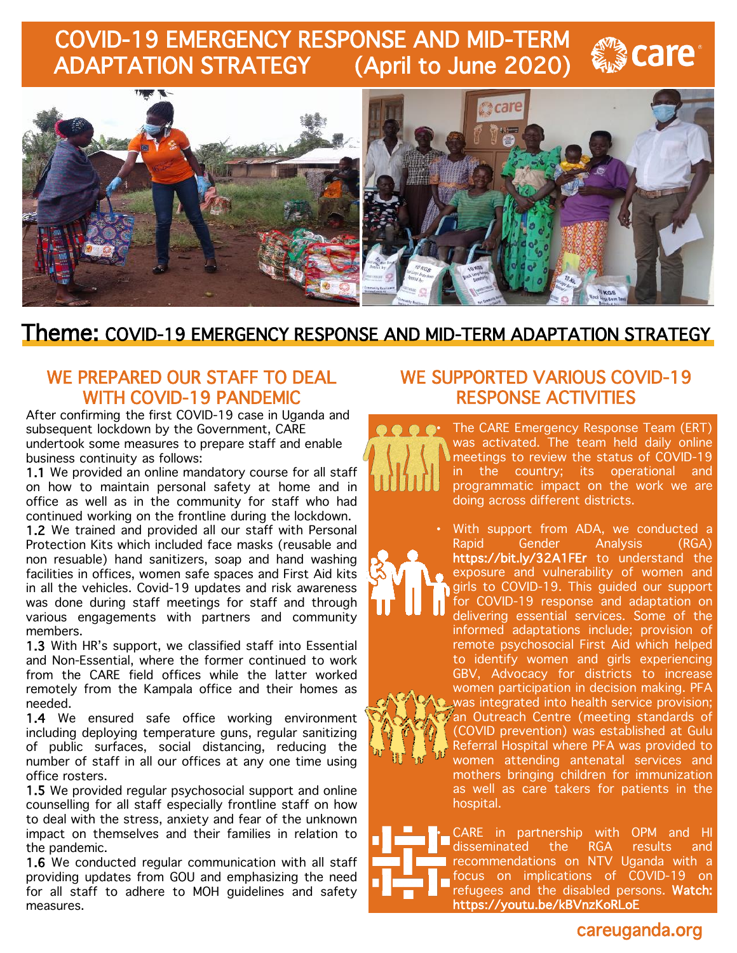COVID-19 EMERGENCY RESPONSE AND MID-TERM ADAPTATION STRATEGY (April to June 2020)





### Theme: COVID-19 EMERGENCY RESPONSE AND MID-TERM ADAPTATION STRATEGY

### WE PREPARED OUR STAFF TO DEAL WITH COVID-19 PANDEMIC

After confirming the first COVID-19 case in Uganda and subsequent lockdown by the Government, CARE undertook some measures to prepare staff and enable business continuity as follows:

1.1 We provided an online mandatory course for all staff on how to maintain personal safety at home and in office as well as in the community for staff who had continued working on the frontline during the lockdown.

1.2 We trained and provided all our staff with Personal Protection Kits which included face masks (reusable and non resuable) hand sanitizers, soap and hand washing facilities in offices, women safe spaces and First Aid kits in all the vehicles. Covid-19 updates and risk awareness was done during staff meetings for staff and through various engagements with partners and community members.

1.3 With HR's support, we classified staff into Essential and Non-Essential, where the former continued to work from the CARE field offices while the latter worked remotely from the Kampala office and their homes as needed.

1.4 We ensured safe office working environment including deploying temperature guns, regular sanitizing of public surfaces, social distancing, reducing the number of staff in all our offices at any one time using office rosters.

1.5 We provided regular psychosocial support and online counselling for all staff especially frontline staff on how to deal with the stress, anxiety and fear of the unknown impact on themselves and their families in relation to the pandemic.

1.6 We conducted regular communication with all staff providing updates from GOU and emphasizing the need for all staff to adhere to MOH guidelines and safety measures.

### WE SUPPORTED VARIOUS COVID-19 RESPONSE ACTIVITIES

• The CARE Emergency Response Team (ERT) was activated. The team held daily online meetings to review the status of COVID-19 in the country; its operational and programmatic impact on the work we are doing across different districts.

With support from ADA, we conducted a Rapid Gender Analysis (RGA) https://bit.ly/32A1FEr to understand the exposure and vulnerability of women and girls to COVID-19. This guided our support for COVID-19 response and adaptation on delivering essential services. Some of the informed adaptations include; provision of remote psychosocial First Aid which helped to identify women and girls experiencing GBV, Advocacy for districts to increase women participation in decision making. PFA was integrated into health service provision; an Outreach Centre (meeting standards of (COVID prevention) was established at Gulu Referral Hospital where PFA was provided to women attending antenatal services and mothers bringing children for immunization as well as care takers for patients in the hospital.

CARE in partnership with OPM and HI disseminated the RGA results and recommendations on NTV Uganda with a focus on implications of COVID-19 on refugees and the disabled persons. Watch: https://youtu.be/kBVnzKoRLoE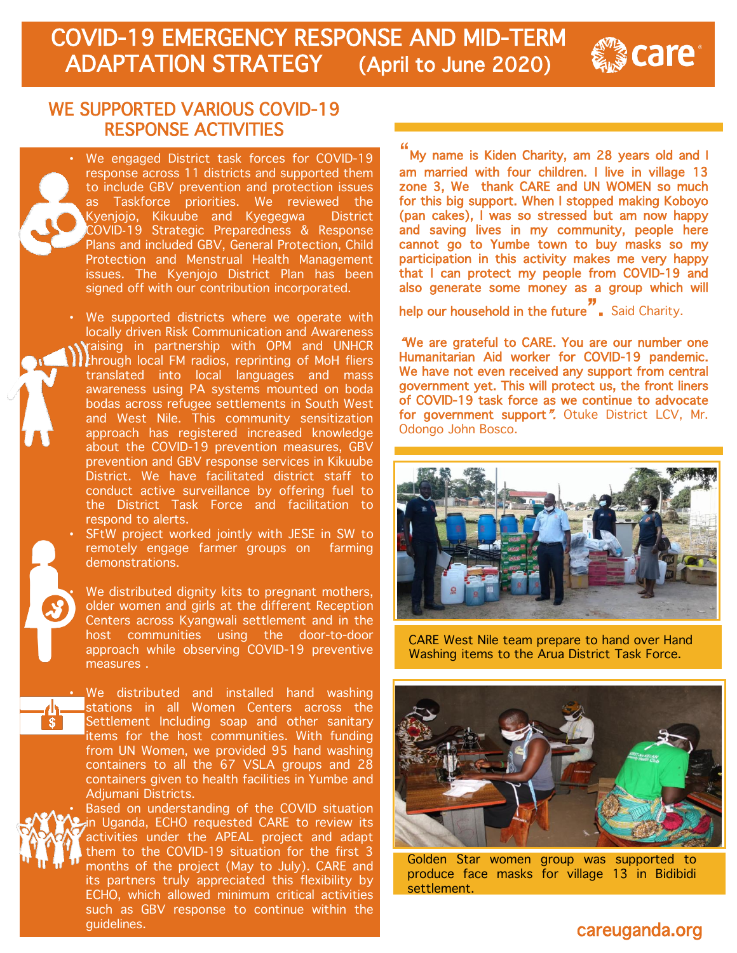

### WE SUPPORTED VARIOUS COVID-19 RESPONSE ACTIVITIES

We engaged District task forces for COVID-19 response across 11 districts and supported them to include GBV prevention and protection issues as Taskforce priorities. We reviewed the Kyenjojo, Kikuube and Kyegegwa District COVID‐19 Strategic Preparedness & Response Plans and included GBV, General Protection, Child Protection and Menstrual Health Management issues. The Kyenjojo District Plan has been signed off with our contribution incorporated.

We supported districts where we operate with locally driven Risk Communication and Awareness raising in partnership with OPM and UNHCR through local FM radios, reprinting of MoH fliers translated into local languages and mass awareness using PA systems mounted on boda bodas across refugee settlements in South West and West Nile. This community sensitization approach has registered increased knowledge about the COVID-19 prevention measures, GBV prevention and GBV response services in Kikuube District. We have facilitated district staff to conduct active surveillance by offering fuel to the District Task Force and facilitation to respond to alerts.

SFtW project worked jointly with JESE in SW to remotely engage farmer groups on farming demonstrations.

We distributed dignity kits to pregnant mothers, older women and girls at the different Reception Centers across Kyangwali settlement and in the host communities using the door-to-door approach while observing COVID-19 preventive measures .

We distributed and installed hand washing stations in all Women Centers across the Settlement Including soap and other sanitary items for the host communities. With funding from UN Women, we provided 95 hand washing containers to all the 67 VSLA groups and 28 containers given to health facilities in Yumbe and Adjumani Districts.

Based on understanding of the COVID situation in Uganda, ECHO requested CARE to review its activities under the APEAL project and adapt them to the COVID-19 situation for the first 3 months of the project (May to July). CARE and its partners truly appreciated this flexibility by ECHO, which allowed minimum critical activities such as GBV response to continue within the guidelines.

" My name is Kiden Charity, am 28 years old and I am married with four children. I live in village 13 zone 3, We thank CARE and UN WOMEN so much for this big support. When I stopped making Koboyo (pan cakes), I was so stressed but am now happy and saving lives in my community, people here cannot go to Yumbe town to buy masks so my participation in this activity makes me very happy that I can protect my people from COVID-19 and also generate some money as a group which will help our household in the future". Said Charity.

"We are grateful to CARE. You are our number one Humanitarian Aid worker for COVID-19 pandemic. We have not even received any support from central government yet. This will protect us, the front liners of COVID-19 task force as we continue to advocate for government support". Otuke District LCV, Mr. Odongo John Bosco.



CARE West Nile team prepare to hand over Hand Washing items to the Arua District Task Force.



Golden Star women group was supported to produce face masks for village 13 in Bidibidi settlement.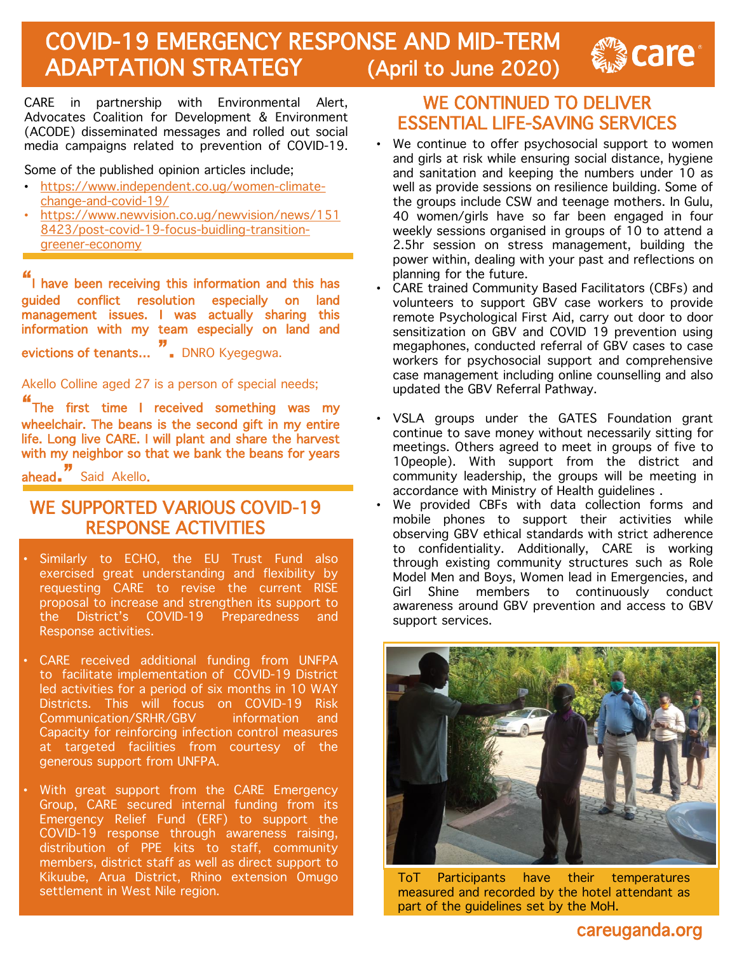## COVID-19 EMERGENCY RESPONSE AND MID-TERM ADAPTATION STRATEGY (April to June 2020)

CARE in partnership with Environmental Alert, Advocates Coalition for Development & Environment (ACODE) disseminated messages and rolled out social media campaigns related to prevention of COVID-19.

Some of the published opinion articles include;

- [https://www.independent.co.ug/women-climate](https://www.independent.co.ug/women-climate-change-and-covid-19/)change-and-covid-19/
- [https://www.newvision.co.ug/newvision/news/151](https://www.newvision.co.ug/newvision/news/1518423/post-covid-19-focus-buidling-transition-greener-economy) 8423/post-covid-19-focus-buidling-transitiongreener-economy

"<sup>I</sup> have been receiving this information and this has guided conflict resolution especially on land management issues. I was actually sharing this information with my team especially on land and evictions of tenants... ". DNRO Kyegegwa.

Akello Colline aged 27 is a person of special needs;

**"The first time I received something was my** wheelchair. The beans is the second gift in my entire life. Long live CARE. I will plant and share the harvest with my neighbor so that we bank the beans for years

 $\frac{1}{2}$  Said Akello.

### WE SUPPORTED VARIOUS COVID-19 RESPONSE ACTIVITIES

- Similarly to ECHO, the EU Trust Fund also exercised great understanding and flexibility by requesting CARE to revise the current RISE proposal to increase and strengthen its support to the District's COVID-19 Preparedness and Response activities.
- CARE received additional funding from UNFPA to facilitate implementation of COVID-19 District led activities for a period of six months in 10 WAY Districts. This will focus on COVID-19 Risk Communication/SRHR/GBV information and Capacity for reinforcing infection control measures at targeted facilities from courtesy of the generous support from UNFPA.
- With great support from the CARE Emergency Group, CARE secured internal funding from its Emergency Relief Fund (ERF) to support the COVID-19 response through awareness raising, distribution of PPE kits to staff, community members, district staff as well as direct support to Kikuube, Arua District, Rhino extension Omugo settlement in West Nile region.

### WE CONTINUED TO DELIVER ESSENTIAL LIFE-SAVING SERVICES

**escare** 

- We continue to offer psychosocial support to women and girls at risk while ensuring social distance, hygiene and sanitation and keeping the numbers under 10 as well as provide sessions on resilience building. Some of the groups include CSW and teenage mothers. In Gulu, 40 women/girls have so far been engaged in four weekly sessions organised in groups of 10 to attend a 2.5hr session on stress management, building the power within, dealing with your past and reflections on planning for the future.
- CARE trained Community Based Facilitators (CBFs) and volunteers to support GBV case workers to provide remote Psychological First Aid, carry out door to door sensitization on GBV and COVID 19 prevention using megaphones, conducted referral of GBV cases to case workers for psychosocial support and comprehensive case management including online counselling and also updated the GBV Referral Pathway.
- VSLA groups under the GATES Foundation grant continue to save money without necessarily sitting for meetings. Others agreed to meet in groups of five to 10people). With support from the district and community leadership, the groups will be meeting in accordance with Ministry of Health guidelines .
- We provided CBFs with data collection forms and mobile phones to support their activities while observing GBV ethical standards with strict adherence to confidentiality. Additionally, CARE is working through existing community structures such as Role Model Men and Boys, Women lead in Emergencies, and Girl Shine members to continuously conduct awareness around GBV prevention and access to GBV support services.



ToT Participants have their temperatures measured and recorded by the hotel attendant as part of the guidelines set by the MoH.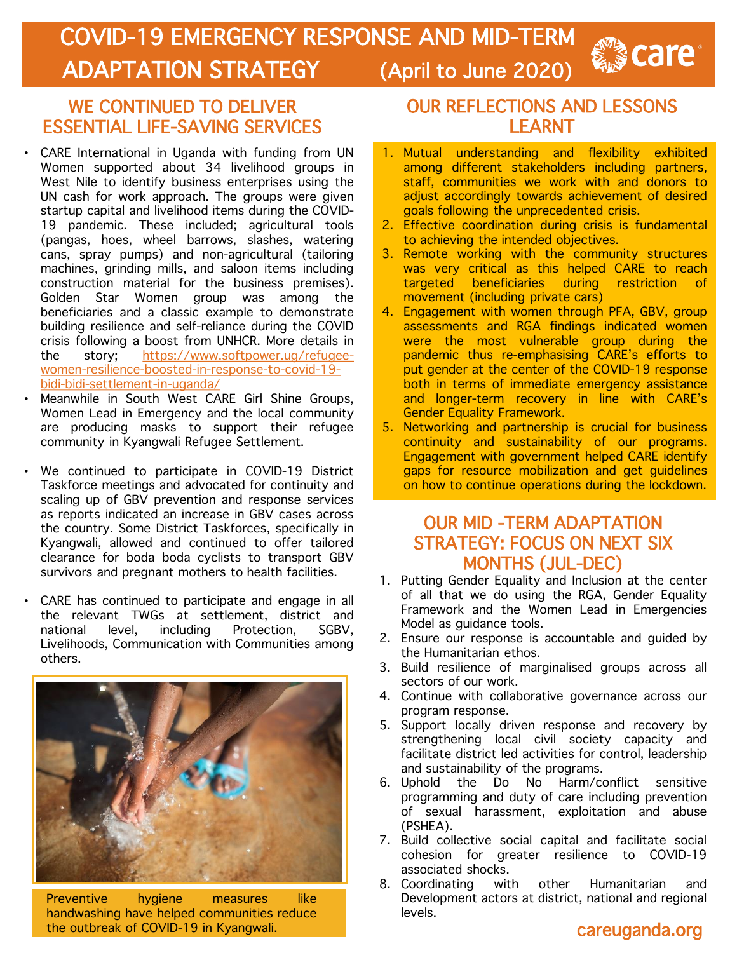# COVID-19 EMERGENCY RESPONSE AND MID-TERM ADAPTATION STRATEGY (April to June 2020)



- CARE International in Uganda with funding from UN Women supported about 34 livelihood groups in West Nile to identify business enterprises using the UN cash for work approach. The groups were given startup capital and livelihood items during the COVID-19 pandemic. These included; agricultural tools (pangas, hoes, wheel barrows, slashes, watering cans, spray pumps) and non-agricultural (tailoring machines, grinding mills, and saloon items including construction material for the business premises). Golden Star Women group was among the beneficiaries and a classic example to demonstrate building resilience and self-reliance during the COVID crisis following a boost from UNHCR. More details in the story; https://www.softpower.ug/refugee[women-resilience-boosted-in-response-to-covid-19](https://www.softpower.ug/refugee-women-resilience-boosted-in-response-to-covid-19-bidi-bidi-settlement-in-uganda/) bidi-bidi-settlement-in-uganda/
- Meanwhile in South West CARE Girl Shine Groups, Women Lead in Emergency and the local community are producing masks to support their refugee community in Kyangwali Refugee Settlement.
- We continued to participate in COVID-19 District Taskforce meetings and advocated for continuity and scaling up of GBV prevention and response services as reports indicated an increase in GBV cases across the country. Some District Taskforces, specifically in Kyangwali, allowed and continued to offer tailored clearance for boda boda cyclists to transport GBV survivors and pregnant mothers to health facilities.
- CARE has continued to participate and engage in all the relevant TWGs at settlement, district and national level, including Protection, SGBV, Livelihoods, Communication with Communities among others.



Preventive hygiene measures like handwashing have helped communities reduce the outbreak of COVID-19 in Kyangwali.

### OUR REFLECTIONS AND LESSONS **LEARNT**

**Escare** 

- 1. Mutual understanding and flexibility exhibited among different stakeholders including partners, staff, communities we work with and donors to adjust accordingly towards achievement of desired goals following the unprecedented crisis.
- 2. Effective coordination during crisis is fundamental to achieving the intended objectives.
- 3. Remote working with the community structures was very critical as this helped CARE to reach targeted beneficiaries during restriction movement (including private cars)
- 4. Engagement with women through PFA, GBV, group assessments and RGA findings indicated women were the most vulnerable group during the pandemic thus re-emphasising CARE's efforts to put gender at the center of the COVID-19 response both in terms of immediate emergency assistance and longer-term recovery in line with CARE's Gender Equality Framework.
- 5. Networking and partnership is crucial for business continuity and sustainability of our programs. Engagement with government helped CARE identify gaps for resource mobilization and get guidelines on how to continue operations during the lockdown.

### OUR MID -TERM ADAPTATION STRATEGY: FOCUS ON NEXT SIX MONTHS (JUL-DEC)

- 1. Putting Gender Equality and Inclusion at the center of all that we do using the RGA, Gender Equality Framework and the Women Lead in Emergencies Model as quidance tools.
- 2. Ensure our response is accountable and guided by the Humanitarian ethos.
- 3. Build resilience of marginalised groups across all sectors of our work.
- 4. Continue with collaborative governance across our program response.
- 5. Support locally driven response and recovery by strengthening local civil society capacity and facilitate district led activities for control, leadership and sustainability of the programs.
- 6. Uphold the Do No Harm/conflict sensitive programming and duty of care including prevention of sexual harassment, exploitation and abuse (PSHEA).
- 7. Build collective social capital and facilitate social cohesion for greater resilience to COVID-19 associated shocks.<br>8. Coordinating with
- with other Humanitarian and Development actors at district, national and regional levels.